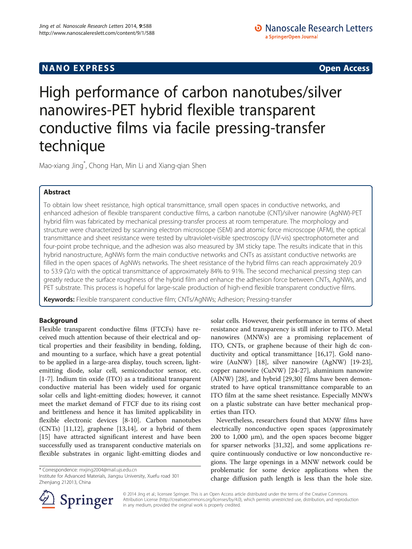## **NANO EXPRESS** Open Access and the set of the set of the set of the set of the set of the set of the set of the set of the set of the set of the set of the set of the set of the set of the set of the set of the set of the

# High performance of carbon nanotubes/silver nanowires-PET hybrid flexible transparent conductive films via facile pressing-transfer technique

Mao-xiang Jing\* , Chong Han, Min Li and Xiang-qian Shen

## Abstract

To obtain low sheet resistance, high optical transmittance, small open spaces in conductive networks, and enhanced adhesion of flexible transparent conductive films, a carbon nanotube (CNT)/silver nanowire (AgNW)-PET hybrid film was fabricated by mechanical pressing-transfer process at room temperature. The morphology and structure were characterized by scanning electron microscope (SEM) and atomic force microscope (AFM), the optical transmittance and sheet resistance were tested by ultraviolet-visible spectroscopy (UV-vis) spectrophotometer and four-point probe technique, and the adhesion was also measured by 3M sticky tape. The results indicate that in this hybrid nanostructure, AgNWs form the main conductive networks and CNTs as assistant conductive networks are filled in the open spaces of AgNWs networks. The sheet resistance of the hybrid films can reach approximately 20.9 to 53.9 Ω/□ with the optical transmittance of approximately 84% to 91%. The second mechanical pressing step can greatly reduce the surface roughness of the hybrid film and enhance the adhesion force between CNTs, AgNWs, and PET substrate. This process is hopeful for large-scale production of high-end flexible transparent conductive films.

Keywords: Flexible transparent conductive film; CNTs/AgNWs; Adhesion; Pressing-transfer

## Background

Flexible transparent conductive films (FTCFs) have received much attention because of their electrical and optical properties and their feasibility in bending, folding, and mounting to a surface, which have a great potential to be applied in a large-area display, touch screen, lightemitting diode, solar cell, semiconductor sensor, etc. [[1-7](#page-5-0)]. Indium tin oxide (ITO) as a traditional transparent conductive material has been widely used for organic solar cells and light-emitting diodes; however, it cannot meet the market demand of FTCF due to its rising cost and brittleness and hence it has limited applicability in flexible electronic devices [\[8](#page-5-0)-[10](#page-5-0)]. Carbon nanotubes (CNTs) [[11,12\]](#page-5-0), graphene [[13,14\]](#page-5-0), or a hybrid of them [[15\]](#page-5-0) have attracted significant interest and have been successfully used as transparent conductive materials on flexible substrates in organic light-emitting diodes and



Nevertheless, researchers found that MNW films have electrically nonconductive open spaces (approximately 200 to 1,000 μm), and the open spaces become bigger for sparser networks [\[31,32\]](#page-5-0), and some applications require continuously conductive or low nonconductive regions. The large openings in a MNW network could be problematic for some device applications when the charge diffusion path length is less than the hole size.



© 2014 Jing et al.; licensee Springer. This is an Open Access article distributed under the terms of the Creative Commons Attribution License [\(http://creativecommons.org/licenses/by/4.0\)](http://creativecommons.org/licenses/by/4.0), which permits unrestricted use, distribution, and reproduction in any medium, provided the original work is properly credited.

<sup>\*</sup> Correspondence: [mxjing2004@mail.ujs.edu.cn](mailto:mxjing2004@mail.ujs.edu.cn)

Institute for Advanced Materials, Jiangsu University, Xuefu road 301 Zhenjiang 212013, China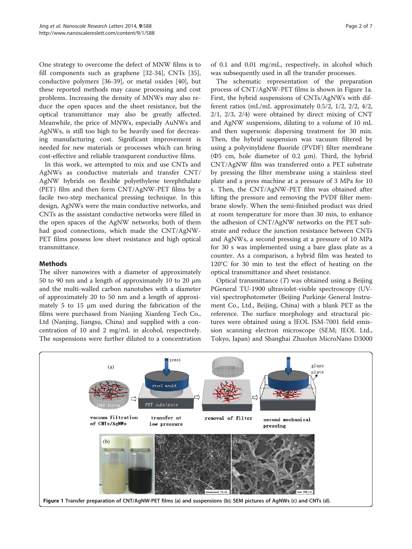<span id="page-1-0"></span>One strategy to overcome the defect of MNW films is to fill components such as graphene [[32-34](#page-5-0)], CNTs [\[35](#page-5-0)], conductive polymers [[36](#page-5-0)-[39\]](#page-5-0), or metal oxides [\[40](#page-5-0)], but these reported methods may cause processing and cost problems. Increasing the density of MNWs may also reduce the open spaces and the sheet resistance, but the optical transmittance may also be greatly affected. Meanwhile, the price of MNWs, especially AuNWs and AgNWs, is still too high to be heavily used for decreasing manufacturing cost. Significant improvement is needed for new materials or processes which can bring cost-effective and reliable transparent conductive films.

In this work, we attempted to mix and use CNTs and AgNWs as conductive materials and transfer CNT/ AgNW hybrids on flexible polyethylene terephthalate (PET) film and then form CNT/AgNW-PET films by a facile two-step mechanical pressing technique. In this design, AgNWs were the main conductive networks, and CNTs as the assistant conductive networks were filled in the open spaces of the AgNW networks; both of them had good connections, which made the CNT/AgNW-PET films possess low sheet resistance and high optical transmittance.

## Methods

The silver nanowires with a diameter of approximately 50 to 90 nm and a length of approximately 10 to 20 μm and the multi-walled carbon nanotubes with a diameter of approximately 20 to 50 nm and a length of approximately 5 to 15 μm used during the fabrication of the films were purchased from Nanjing Xianfeng Tech Co., Ltd (Nanjing, Jiangsu, China) and supplied with a concentration of 10 and 2 mg/mL in alcohol, respectively. The suspensions were further diluted to a concentration

of 0.1 and 0.01 mg/mL, respectively, in alcohol which was subsequently used in all the transfer processes.

The schematic representation of the preparation process of CNT/AgNW-PET films is shown in Figure 1a. First, the hybrid suspensions of CNTs/AgNWs with different ratios (mL/mL approximately 0.5/2, 1/2, 2/2, 4/2, 2/1, 2/3, 2/4) were obtained by direct mixing of CNT and AgNW suspensions, diluting to a volume of 10 mL and then supersonic dispersing treatment for 30 min. Then, the hybrid suspension was vacuum filtered by using a polyvinylidene fluoride (PVDF) filter membrane (Φ5 cm, hole diameter of 0.2 μm). Third, the hybrid CNT/AgNW film was transferred onto a PET substrate by pressing the filter membrane using a stainless steel plate and a press machine at a pressure of 3 MPa for 10 s. Then, the CNT/AgNW-PET film was obtained after lifting the pressure and removing the PVDF filter membrane slowly. When the semi-finished product was dried at room temperature for more than 30 min, to enhance the adhesion of CNT/AgNW networks on the PET substrate and reduce the junction resistance between CNTs and AgNWs, a second pressing at a pressure of 10 MPa for 30 s was implemented using a bare glass plate as a counter. As a comparison, a hybrid film was heated to 120°C for 30 min to test the effect of heating on the optical transmittance and sheet resistance.

Optical transmittance  $(T)$  was obtained using a Beijing PGeneral TU-1900 ultraviolet-visible spectroscopy (UVvis) spectrophotometer (Beijing Purkinje General Instrument Co., Ltd., Beijing, China) with a blank PET as the reference. The surface morphology and structural pictures were obtained using a JEOL JSM-7001 field emission scanning electron microscope (SEM; JEOL Ltd., Tokyo, Japan) and Shanghai Zhuolun MicroNano D3000

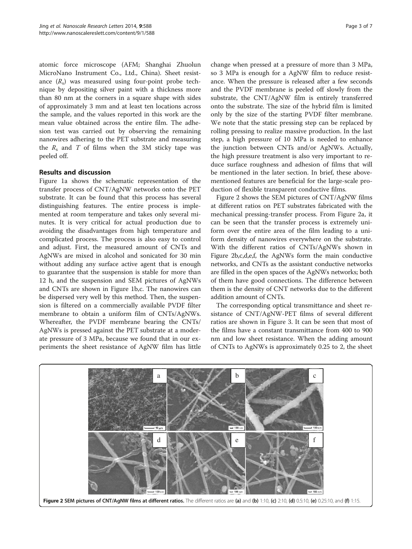atomic force microscope (AFM; Shanghai Zhuolun MicroNano Instrument Co., Ltd., China). Sheet resistance  $(R_s)$  was measured using four-point probe technique by depositing silver paint with a thickness more than 80 nm at the corners in a square shape with sides of approximately 3 mm and at least ten locations across the sample, and the values reported in this work are the mean value obtained across the entire film. The adhesion test was carried out by observing the remaining nanowires adhering to the PET substrate and measuring the  $R_s$  and  $T$  of films when the 3M sticky tape was peeled off.

## Results and discussion

Figure [1](#page-1-0)a shows the schematic representation of the transfer process of CNT/AgNW networks onto the PET substrate. It can be found that this process has several distinguishing features. The entire process is implemented at room temperature and takes only several minutes. It is very critical for actual production due to avoiding the disadvantages from high temperature and complicated process. The process is also easy to control and adjust. First, the measured amount of CNTs and AgNWs are mixed in alcohol and sonicated for 30 min without adding any surface active agent that is enough to guarantee that the suspension is stable for more than 12 h, and the suspension and SEM pictures of AgNWs and CNTs are shown in Figure [1](#page-1-0)b,c. The nanowires can be dispersed very well by this method. Then, the suspension is filtered on a commercially available PVDF filter membrane to obtain a uniform film of CNTs/AgNWs. Whereafter, the PVDF membrane bearing the CNTs/ AgNWs is pressed against the PET substrate at a moderate pressure of 3 MPa, because we found that in our experiments the sheet resistance of AgNW film has little

change when pressed at a pressure of more than 3 MPa, so 3 MPa is enough for a AgNW film to reduce resistance. When the pressure is released after a few seconds and the PVDF membrane is peeled off slowly from the substrate, the CNT/AgNW film is entirely transferred onto the substrate. The size of the hybrid film is limited only by the size of the starting PVDF filter membrane. We note that the static pressing step can be replaced by rolling pressing to realize massive production. In the last step, a high pressure of 10 MPa is needed to enhance the junction between CNTs and/or AgNWs. Actually, the high pressure treatment is also very important to reduce surface roughness and adhesion of films that will be mentioned in the later section. In brief, these abovementioned features are beneficial for the large-scale production of flexible transparent conductive films.

Figure 2 shows the SEM pictures of CNT/AgNW films at different ratios on PET substrates fabricated with the mechanical pressing-transfer process. From Figure 2a, it can be seen that the transfer process is extremely uniform over the entire area of the film leading to a uniform density of nanowires everywhere on the substrate. With the different ratios of CNTs/AgNWs shown in Figure 2b,c,d,e,f, the AgNWs form the main conductive networks, and CNTs as the assistant conductive networks are filled in the open spaces of the AgNWs networks; both of them have good connections. The difference between them is the density of CNT networks due to the different addition amount of CNTs.

The corresponding optical transmittance and sheet resistance of CNT/AgNW-PET films of several different ratios are shown in Figure [3](#page-3-0). It can be seen that most of the films have a constant transmittance from 400 to 900 nm and low sheet resistance. When the adding amount of CNTs to AgNWs is approximately 0.25 to 2, the sheet

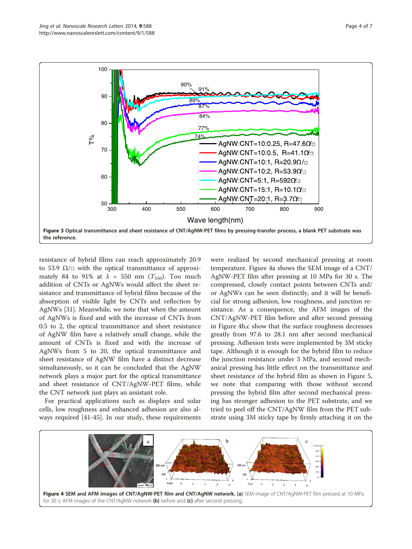<span id="page-3-0"></span>

resistance of hybrid films can reach approximately 20.9 to 53.9  $\Omega/\square$  with the optical transmittance of approximately 84 to 91% at  $\lambda$  = 550 nm (T<sub>550</sub>). Too much addition of CNTs or AgNWs would affect the sheet resistance and transmittance of hybrid films because of the absorption of visible light by CNTs and reflection by AgNWs [[31](#page-5-0)]. Meanwhile, we note that when the amount of AgNWs is fixed and with the increase of CNTs from 0.5 to 2, the optical transmittance and sheet resistance of AgNW film have a relatively small change, while the amount of CNTs is fixed and with the increase of AgNWs from 5 to 20, the optical transmittance and sheet resistance of AgNW film have a distinct decrease simultaneously, so it can be concluded that the AgNW network plays a major part for the optical transmittance and sheet resistance of CNT/AgNW-PET films, while the CNT network just plays an assistant role.

For practical applications such as displays and solar cells, low roughness and enhanced adhesion are also always required [\[41](#page-5-0)-[45](#page-6-0)]. In our study, these requirements

were realized by second mechanical pressing at room temperature. Figure 4a shows the SEM image of a CNT/ AgNW-PET film after pressing at 10 MPa for 30 s. The compressed, closely contact points between CNTs and/ or AgNWs can be seen distinctly, and it will be beneficial for strong adhesion, low roughness, and junction resistance. As a consequence, the AFM images of the CNT/AgNW-PET film before and after second pressing in Figure 4b,c show that the surface roughness decreases greatly from 97.6 to 28.1 nm after second mechanical pressing. Adhesion tests were implemented by 3M sticky tape. Although it is enough for the hybrid film to reduce the junction resistance under 3 MPa, and second mechanical pressing has little effect on the transmittance and sheet resistance of the hybrid film as shown in Figure [5](#page-4-0), we note that comparing with those without second pressing the hybrid film after second mechanical pressing has stronger adhesion to the PET substrate, and we tried to peel off the CNT/AgNW film from the PET substrate using 3M sticky tape by firmly attaching it on the

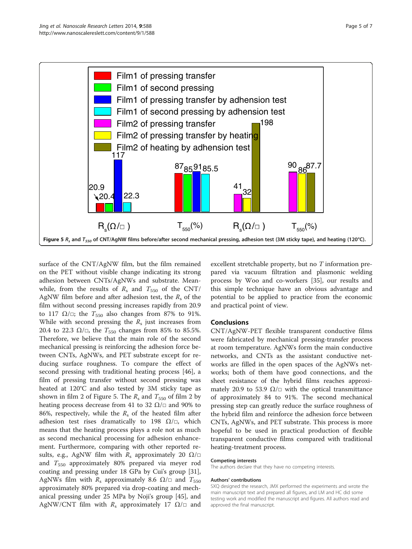<span id="page-4-0"></span>

surface of the CNT/AgNW film, but the film remained on the PET without visible change indicating its strong adhesion between CNTs/AgNWs and substrate. Meanwhile, from the results of  $R_s$  and  $T_{550}$  of the CNT/ AgNW film before and after adhesion test, the  $R_s$  of the film without second pressing increases rapidly from 20.9 to 117  $\Omega/\Box$ ; the  $T_{550}$  also changes from 87% to 91%. While with second pressing the  $R_s$  just increases from 20.4 to 22.3  $\Omega/\Box$ , the T<sub>550</sub> changes from 85% to 85.5%. Therefore, we believe that the main role of the second mechanical pressing is reinforcing the adhesion force between CNTs, AgNWs, and PET substrate except for reducing surface roughness. To compare the effect of second pressing with traditional heating process [[46\]](#page-6-0), a film of pressing transfer without second pressing was heated at 120°C and also tested by 3M sticky tape as shown in film 2 of Figure 5. The  $R_s$  and  $T_{550}$  of film 2 by heating process decrease from 41 to 32  $\Omega/\Box$  and 90% to 86%, respectively, while the  $R_s$  of the heated film after adhesion test rises dramatically to 198  $\Omega/\square$ , which means that the heating process plays a role not as much as second mechanical processing for adhesion enhancement. Furthermore, comparing with other reported results, e.g., AgNW film with  $R_s$  approximately 20  $\Omega/\Box$ and  $T_{550}$  approximately 80% prepared via meyer rod coating and pressing under 18 GPa by Cui's group [\[31](#page-5-0)], AgNWs film with  $R_s$  approximately 8.6  $\Omega/\square$  and  $T_{550}$ approximately 80% prepared via drop-coating and mechanical pressing under 25 MPa by Noji's group [[45](#page-6-0)], and AgNW/CNT film with  $R_s$  approximately 17  $\Omega/\square$  and

excellent stretchable property, but no T information prepared via vacuum filtration and plasmonic welding process by Woo and co-workers [[35\]](#page-5-0), our results and this simple technique have an obvious advantage and potential to be applied to practice from the economic and practical point of view.

### Conclusions

CNT/AgNW-PET flexible transparent conductive films were fabricated by mechanical pressing-transfer process at room temperature. AgNWs form the main conductive networks, and CNTs as the assistant conductive networks are filled in the open spaces of the AgNWs networks; both of them have good connections, and the sheet resistance of the hybrid films reaches approximately 20.9 to 53.9  $\Omega/\square$  with the optical transmittance of approximately 84 to 91%. The second mechanical pressing step can greatly reduce the surface roughness of the hybrid film and reinforce the adhesion force between CNTs, AgNWs, and PET substrate. This process is more hopeful to be used in practical production of flexible transparent conductive films compared with traditional heating-treatment process.

#### Competing interests

The authors declare that they have no competing interests.

#### Authors' contributions

SXQ designed the research, JMX performed the experiments and wrote the main manuscript text and prepared all figures, and LM and HC did some testing work and modified the manuscript and figures. All authors read and approved the final manuscript.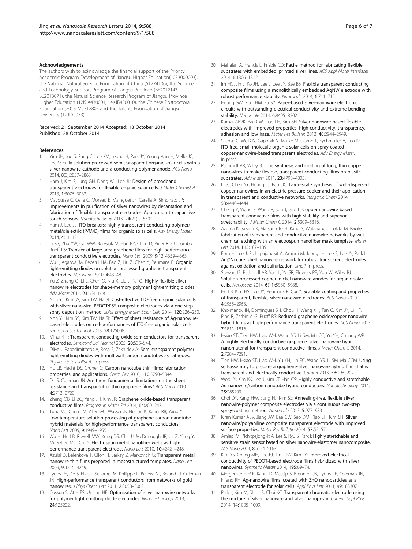#### <span id="page-5-0"></span>Acknowledgements

The authors wish to acknowledge the financial support of the Priority Academic Program Development of Jiangsu Higher Education(1033000003), the National Natural Science Foundation of China (51274106), the Science and Technology Support Program of Jiangsu Province (BE2012143, BE2013071), the Natural Science Research Program of Jiangsu Province Higher Education (12KJA430001, 14KJB430010), the Chinese Postdoctoral Foundation (2013 M531280), and the Talents Foundation of Jiangsu University (12JDG073).

#### Received: 21 September 2014 Accepted: 18 October 2014 Published: 28 October 2014

#### References

- 1. Yim JH, Joe S, Pang C, Lee KM, Jeong H, Park JY, Yeong Ahn H, Mello JC, Lee S: Fully solution-processed semitransparent organic solar cells with a silver nanowire cathode and a conducting polymer anode. ACS Nano 2014, 8(3):2857–2863.
- Ham J, Kim S, Jung GH, Dong WJ, Lee JL: Design of broadband transparent electrodes for flexible organic solar cells. J Mater Chemist A 2013, 1:3076–3082.
- 3. Mayousse C, Celle C, Moreau E, Mainguet JF, Carella A, Simonato JP: Improvements in purification of silver nanowires by decantation and fabrication of flexible transparent electrodes. Application to capacitive touch sensors. Nanotechnology 2013, 24(21):215501.
- Ham J, Lee JL: ITO breakers: highly transparent conducting polymer/ metal/dielectric (P/M/D) films for organic solar cells. Adv Energy Mater 2014, 4:11–15.
- 5. Li XS, Zhu YW, Cai WW, Borysiak M, Han BY, Chen D, Piner RD, Colombo L, Ruoff RS: Transfer of large-area graphene films for high-performance transparent conductive electrodes. Nano Lett 2009, 9(12):4359–4363.
- 6. Wu J, Agarwal M, Becerril HA, Bao Z, Liu Z, Chen Y, Peumans P: Organic light-emitting diodes on solution processed graphene transparent electrodes. ACS Nano 2010, 4:43–48.
- 7. Yu Z, Zhang Q, Li L, Chen Q, Niu X, Liu J, Pei Q: Highly flexible silver nanowire electrodes for shape-memory polymer light-emitting diodes. Adv Mater 2011, 23:664–668.
- 8. Noh YJ, Kim SS, Kim TW, Na SI: Cost-effective ITO-free organic solar cells with silver nanowire–PEDOT:PSS composite electrodes via a one-step spray deposition method. Solar Energy Mater Solar Cells 2014, 120:226-230.
- Noh YJ, Kim SS, Kim TW, Na SI: Effect of sheet resistance of Ag-nanowirebased electrodes on cell-performances of ITO-free organic solar cells. Semicond Sci Technol 2013, 28:125008.
- 10. Minami T: Transparent conducting oxide semiconductors for transparent electrodes. Semicond Sci Technol 2005, 20:S35–S44.
- 11. Oliva J, Papadimitratos A, Rosa E, Zakhidov A: Semi-transparent polymer light emitting diodes with multiwall carbon nanotubes as cathodes. Physica status solidi A. in press.
- 12. Hu LB, Hecht DS, Gruner G: Carbon nanotube thin films: fabrication, properties, and applications. Chem Rev 2010, 110:5790–5844.
- 13. De S, Coleman JN: Are there fundamental limitations on the sheet resistance and transparent of thin graphene films? ACS Nano 2010, 4:2713–2720.
- 14. Zheng QB, Li ZG, Yang JH, Kim JK: Graphene oxide-based transparent conductive films. Progress in Mater Sci 2014, 64:200–247.
- 15. Tung VC, Chen LM, Allen MJ, Wassei JK, Nelson K, Kaner RB, Yang Y: Low-temperature solution processing of graphene-carbon nanotube hybrid materials for high-performance transparent conductors. Nano Lett 2009, 9:1949–1955.
- 16. Wu H, Hu LB, Rowell MW, Kong DS, Cha JJ, McDonough JR, Jia Z, Yang Y, McGehee MD, Cui Y: Electrospun metal nanofiber webs as highperformance transparent electrode. Nano Lett 2010, 10:4242–4248.
- 17. Azulai D, Belenkova T, Gilon H, Barkay Z, Markovich G: Transparent metal nanowire thin films prepared in mesostructured templates. Nano Lett 2009, 9:4246–4249.
- 18. Lyons PE, De S, Elias J, Schamel M, Philippe L, Bellew AT, Boland JJ, Coleman JN: High-performance transparent conductors from networks of gold nanowires. J Phys Chem Lett 2011, 2:3058–3062.
- 19. Coskun S, Ates ES, Unalan HE: Optimization of silver nanowire networks for polymer light emitting diode electrodes. Nanotechnology 2013, 24:125202.
- 20. Mahajan A, Francis L, Frisbie CD: Facile method for fabricating flexible substrates with embedded, printed silver lines. ACS Appl Mater Interfaces 2014, 6:1306–1312.
- 21. Im HG, Jin J, Ko JH, Lee J, Lee JY, Bae BS: Flexible transparent conducting composite films using a monolithically embedded AgNW electrode with robust performance stability. Nanoscale 2014, 6:711–715.
- 22. Huang GW, Xiao HM, Fu SY: Paper-based silver-nanowire electronic circuits with outstanding electrical conductivity and extreme bending stability. Nanoscale 2014, 6:8495–8502.
- 23. Kumar ABVK, Bae CW, Piao LH, Kim SH: Silver nanowire based flexible electrodes with improved properties: high conductivity, transparency, adhesion and low haze. Mater Res Bulletin 2013, 48:2944–2949.
- 24. Sachse C, Weiß N, Gaponik N, Müller-Meskamp L, Eychmüller A, Leo K: ITO-free, small-molecule organic solar cells on spray-coated copper-nanowire-based transparent electrodes. Adv Energy Mater. in press.
- 25. Rathmell AR, Wiley BJ: The synthesis and coating of long, thin copper nanowires to make flexible, transparent conducting films on plastic substrates. Adv Mater 2011, 23:4798–4803.
- 26. Li SJ, Chen YY, Huang LJ, Pan DC: Large-scale synthesis of well-dispersed copper nanowires in an electric pressure cooker and their application in transparent and conductive networks. Inorganic Chem 2014, 53:4440–4444.
- 27. Cheng Y, Wang S, Wang R, Sun J, Gao L: Copper nanowire based transparent conductive films with high stability and superior stretchability. J Mater Chem C 2014, 2:5309-5316.
- 28. Azuma K, Sakajiri K, Matsumoto H, Kang S, Watanabe J, Tokita M: Facile fabrication of transparent and conductive nanowire networks by wet chemical etching with an electrospun nanofiber mask template. Mater Lett 2014, 115:187–189.
- 29. Eom H, Lee J, Pichitpajongkit A, Amjadi M, Jeong JH, Lee E, Lee JY, Park I: Ag@Ni core–shell nanowire network for robust transparent electrodes against oxidation and sulfurization. Small. in press.
- 30. Stewart IE, Rathmell AR, Yan L, Ye SR, Flowers PF, You W, Wiley BJ: Solution-processed copper–nickel nanowire anodes for organic solar cells. Nanoscale 2014, 6(11):5980–5988.
- 31. Hu LB, Kim HS, Lee JY, Peumans P, Cui Y: Scalable coating and properties of transparent, flexible, silver nanowire electrodes. ACS Nano 2010, 4:2955–2963.
- 32. Kholmanov IN, Domingues SH, Chou H, Wang XH, Tan C, Kim JY, Li HF, Pine R, Zarbin AJG, Ruoff RS: Reduced graphene oxide/copper nanowire hybrid films as high-performance transparent electrodes. ACS Nano 2013, 7:1811–1816.
- 33. Hsiao ST, Tien HW, Liao WH, Wang YS, Li SM, Ma CC, Yu YH, Chuang WP: A highly electrically conductive graphene–silver nanowire hybrid nanomaterial for transparent conductive films. J Mater Chem C 2014, 2:7284–7291.
- 34. Tien HW, Hsiao ST, Liao WH, Yu YH, Lin FC, Wang YS, Li SM, Ma CCM: Using self-assembly to prepare a graphene-silver nanowire hybrid film that is transparent and electrically conductive. Carbon 2013, 58:198–207.
- 35. Woo JY, Kim KK, Lee J, Kim JT, Han CS: Highly conductive and stretchable Ag nanowire/carbon nanotube hybrid conductors. Nanotechnology 2014, 25:285203.
- 36. Choi DY, Kang HW, Sung HJ, Kim SS: Annealing-free, flexible silver nanowire-polymer composite electrodes via a continuous two-step spray-coating method. Nanoscale 2013, 5:977–983.
- Kiran Kumar ABV, Jiang JW, Bae CW, Seo DM, Piao LH, Kim SH: Silver nanowire/polyaniline composite transparent electrode with improved surface properties. Mater Res Bulletin 2014, 57:52–57.
- 38. Amjadi M, Pichitpajongkit A, Lee S, Ryu S, Park I: Highly stretchable and sensitive strain sensor based on silver nanowire-elastomer nanocomposite. ACS Nano 2014, 8:5154–5163.
- 39. Kim YS, Chang MH, Lee EJ, Ihm DW, Kim JY: Improved electrical conductivity of PEDOT-based electrode films hybridized with silver nanowires. Synthetic Metals 2014, 195:69–74.
- 40. Morgenstern FSF, Kabra D, Massip S, Brenner TJK, Lyons PE, Coleman JN, Friend RH: Ag-nanowire films, coated with ZnO nanoparticles as a transparent electrode for solar cells. Appl Phys Lett 2011, 99:183307.
- 41. Park J, Kim M, Shin JB, Choi KC: Transparent chromatic electrode using the mixture of silver nanowire and silver nanoprism. Current Appl Phys 2014, 14:1005–1009.